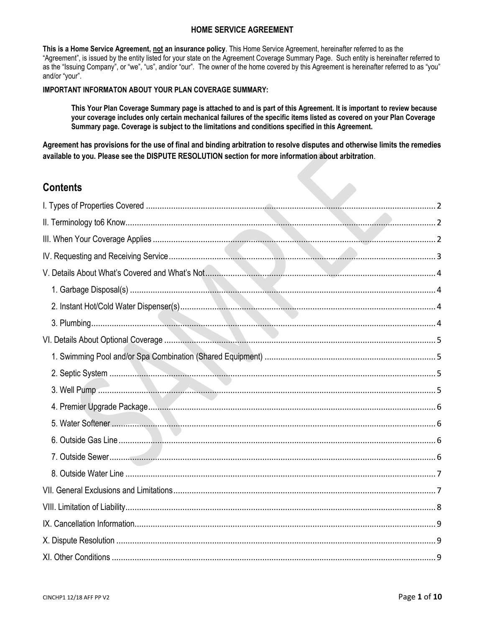## **HOME SERVICE AGREEMENT**

**This is a Home Service Agreement, not an insurance policy**. This Home Service Agreement, hereinafter referred to as the "Agreement", is issued by the entity listed for your state on the Agreement Coverage Summary Page. Such entity is hereinafter referred to as the "Issuing Company", or "we", "us", and/or "our". The owner of the home covered by this Agreement is hereinafter referred to as "you" and/or "your".

## **IMPORTANT INFORMATON ABOUT YOUR PLAN COVERAGE SUMMARY:**

**This Your Plan Coverage Summary page is attached to and is part of this Agreement. It is important to review because your coverage includes only certain mechanical failures of the specific items listed as covered on your Plan Coverage Summary page. Coverage is subject to the limitations and conditions specified in this Agreement.**

**Agreement has provisions for the use of final and binding arbitration to resolve disputes and otherwise limits the remedies available to you. Please see the DISPUTE RESOLUTION section for more information about arbitration**.

# **Contents**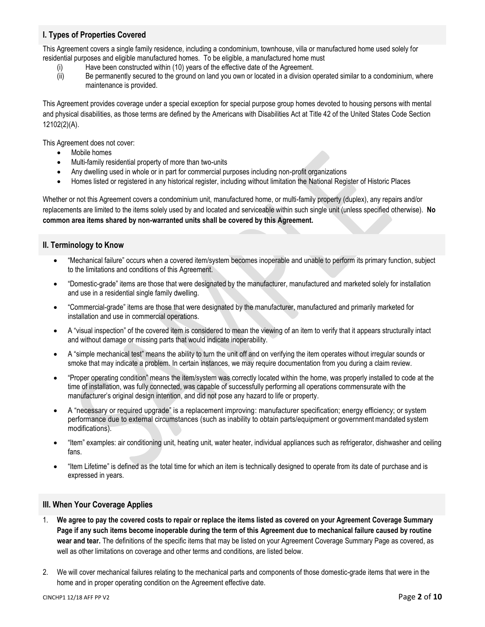## <span id="page-1-0"></span>**I. Types of Properties Covered**

This Agreement covers a single family residence, including a condominium, townhouse, villa or manufactured home used solely for residential purposes and eligible manufactured homes. To be eligible, a manufactured home must

- (i) Have been constructed within (10) years of the effective date of the Agreement.
- (ii) Be permanently secured to the ground on land you own or located in a division operated similar to a condominium, where maintenance is provided.

This Agreement provides coverage under a special exception for special purpose group homes devoted to housing persons with mental and physical disabilities, as those terms are defined by the Americans with Disabilities Act at Title 42 of the United States Code Section 12102(2)(A).

This Agreement does not cover:

- Mobile homes
- Multi-family residential property of more than two-units
- Any dwelling used in whole or in part for commercial purposes including non-profit organizations
- Homes listed or registered in any historical register, including without limitation the National Register of Historic Places

Whether or not this Agreement covers a condominium unit, manufactured home, or multi-family property (duplex), any repairs and/or replacements are limited to the items solely used by and located and serviceable within such single unit (unless specified otherwise). **No common area items shared by non-warranted units shall be covered by this Agreement.**

## <span id="page-1-1"></span>**II. Terminology to Know**

- "Mechanical failure" occurs when a covered item/system becomes inoperable and unable to perform its primary function, subject to the limitations and conditions of this Agreement.
- "Domestic-grade" items are those that were designated by the manufacturer, manufactured and marketed solely for installation and use in a residential single family dwelling.
- "Commercial-grade" items are those that were designated by the manufacturer, manufactured and primarily marketed for installation and use in commercial operations.
- A "visual inspection" of the covered item is considered to mean the viewing of an item to verify that it appears structurally intact and without damage or missing parts that would indicate inoperability.
- A "simple mechanical test" means the ability to turn the unit off and on verifying the item operates without irregular sounds or smoke that may indicate a problem. In certain instances, we may require documentation from you during a claim review.
- "Proper operating condition" means the item/system was correctly located within the home, was properly installed to code at the time of installation, was fully connected, was capable of successfully performing all operations commensurate with the manufacturer's original design intention, and did not pose any hazard to life or property.
- A "necessary or required upgrade" is a replacement improving: manufacturer specification; energy efficiency; or system performance due to external circumstances (such as inability to obtain parts/equipment or government mandated system modifications).
- "Item" examples: air conditioning unit, heating unit, water heater, individual appliances such as refrigerator, dishwasher and ceiling fans.
- "Item Lifetime" is defined as the total time for which an item is technically designed to operate from its date of purchase and is expressed in years.

## <span id="page-1-2"></span>**III. When Your Coverage Applies**

- 1. **We agree to pay the covered costs to repair or replace the items listed as covered on your Agreement Coverage Summary Page if any such items become inoperable during the term of this Agreement due to mechanical failure caused by routine wear and tear.** The definitions of the specific items that may be listed on your Agreement Coverage Summary Page as covered, as well as other limitations on coverage and other terms and conditions, are listed below.
- 2. We will cover mechanical failures relating to the mechanical parts and components of those domestic-grade items that were in the home and in proper operating condition on the Agreement effective date.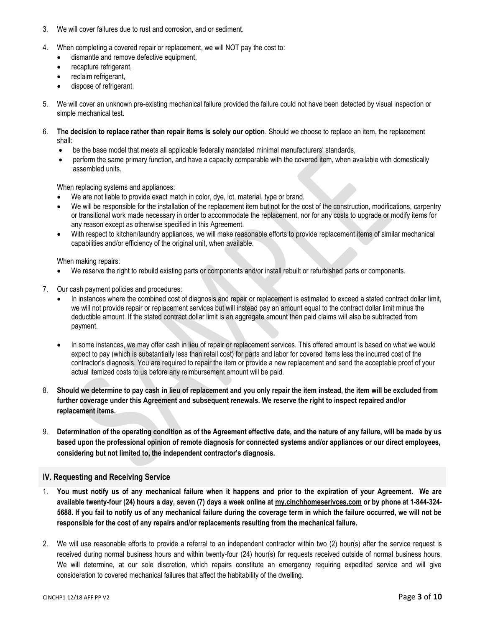- 3. We will cover failures due to rust and corrosion, and or sediment.
- 4. When completing a covered repair or replacement, we will NOT pay the cost to:
	- dismantle and remove defective equipment,
	- recapture refrigerant,
	- reclaim refrigerant,
	- dispose of refrigerant.
- 5. We will cover an unknown pre-existing mechanical failure provided the failure could not have been detected by visual inspection or simple mechanical test.
- 6. **The decision to replace rather than repair items is solely our option**. Should we choose to replace an item, the replacement shall:
	- be the base model that meets all applicable federally mandated minimal manufacturers' standards,
	- perform the same primary function, and have a capacity comparable with the covered item, when available with domestically assembled units.

When replacing systems and appliances:

- We are not liable to provide exact match in color, dye, lot, material, type or brand.
- We will be responsible for the installation of the replacement item but not for the cost of the construction, modifications, carpentry or transitional work made necessary in order to accommodate the replacement, nor for any costs to upgrade or modify items for any reason except as otherwise specified in this Agreement.
- With respect to kitchen/laundry appliances, we will make reasonable efforts to provide replacement items of similar mechanical capabilities and/or efficiency of the original unit, when available.

When making repairs:

- We reserve the right to rebuild existing parts or components and/or install rebuilt or refurbished parts or components.
- 7. Our cash payment policies and procedures:
	- In instances where the combined cost of diagnosis and repair or replacement is estimated to exceed a stated contract dollar limit, we will not provide repair or replacement services but will instead pay an amount equal to the contract dollar limit minus the deductible amount. If the stated contract dollar limit is an aggregate amount then paid claims will also be subtracted from payment.
	- In some instances, we may offer cash in lieu of repair or replacement services. This offered amount is based on what we would expect to pay (which is substantially less than retail cost) for parts and labor for covered items less the incurred cost of the contractor's diagnosis. You are required to repair the item or provide a new replacement and send the acceptable proof of your actual itemized costs to us before any reimbursement amount will be paid.
- 8. **Should we determine to pay cash in lieu of replacement and you only repair the item instead, the item will be excluded from further coverage under this Agreement and subsequent renewals. We reserve the right to inspect repaired and/or replacement items.**
- 9. **Determination of the operating condition as of the Agreement effective date, and the nature of any failure, will be made by us based upon the professional opinion of remote diagnosis for connected systems and/or appliances or our direct employees, considering but not limited to, the independent contractor's diagnosis.**

## <span id="page-2-0"></span>**IV. Requesting and Receiving Service**

- 1. **You must notify us of any mechanical failure when it happens and prior to the expiration of your Agreement. We are available twenty-four (24) hours a day, seven (7) days a week online at [my.cinchhomeserivces.com](http://www.x.com/) or by phone at 1-844-324- 5688. If you fail to notify us of any mechanical failure during the coverage term in which the failure occurred, we will not be responsible for the cost of any repairs and/or replacements resulting from the mechanical failure.**
- 2. We will use reasonable efforts to provide a referral to an independent contractor within two (2) hour(s) after the service request is received during normal business hours and within twenty-four (24) hour(s) for requests received outside of normal business hours. We will determine, at our sole discretion, which repairs constitute an emergency requiring expedited service and will give consideration to covered mechanical failures that affect the habitability of the dwelling.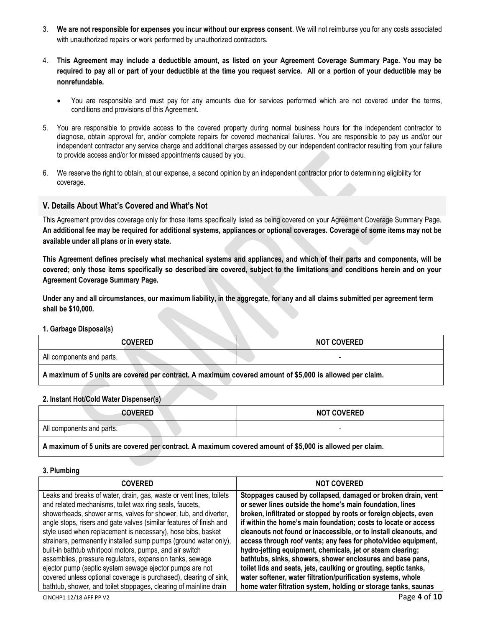- 3. **We are not responsible for expenses you incur without our express consent**. We will not reimburse you for any costs associated with unauthorized repairs or work performed by unauthorized contractors.
- 4. **This Agreement may include a deductible amount, as listed on your Agreement Coverage Summary Page. You may be required to pay all or part of your deductible at the time you request service. All or a portion of your deductible may be nonrefundable.** 
	- You are responsible and must pay for any amounts due for services performed which are not covered under the terms, conditions and provisions of this Agreement.
- 5. You are responsible to provide access to the covered property during normal business hours for the independent contractor to diagnose, obtain approval for, and/or complete repairs for covered mechanical failures. You are responsible to pay us and/or our independent contractor any service charge and additional charges assessed by our independent contractor resulting from your failure to provide access and/or for missed appointments caused by you.
- 6. We reserve the right to obtain, at our expense, a second opinion by an independent contractor prior to determining eligibility for coverage.

## <span id="page-3-0"></span>**V. Details About What's Covered and What's Not**

This Agreement provides coverage only for those items specifically listed as being covered on your Agreement Coverage Summary Page. **An additional fee may be required for additional systems, appliances or optional coverages. Coverage of some items may not be available under all plans or in every state.**

**This Agreement defines precisely what mechanical systems and appliances, and which of their parts and components, will be covered; only those items specifically so described are covered, subject to the limitations and conditions herein and on your Agreement Coverage Summary Page.** 

**Under any and all circumstances, our maximum liability, in the aggregate, for any and all claims submitted per agreement term shall be \$10,000.**

<span id="page-3-1"></span>**1. Garbage Disposal(s)**

| <b>COVERED</b>                                                                                           | <b>NOT COVERED</b> |
|----------------------------------------------------------------------------------------------------------|--------------------|
| All components and parts.                                                                                |                    |
| A maximum of 5 units are covered per contract. A maximum covered amount of \$5,000 is allowed per claim. |                    |

#### <span id="page-3-2"></span>**2. Instant Hot/Cold Water Dispenser(s)**

| <b>COVERED</b>                                                                                           | <b>NOT COVERED</b> |
|----------------------------------------------------------------------------------------------------------|--------------------|
|                                                                                                          |                    |
| All components and parts.                                                                                |                    |
| A maximum of 5 units are covered per contract. A maximum covered amount of \$5,000 is allowed per claim. |                    |

#### <span id="page-3-3"></span>**3. Plumbing**

| <b>COVERED</b>                                                      | <b>NOT COVERED</b>                                                |
|---------------------------------------------------------------------|-------------------------------------------------------------------|
| Leaks and breaks of water, drain, gas, waste or vent lines, toilets | Stoppages caused by collapsed, damaged or broken drain, vent      |
| and related mechanisms, toilet wax ring seals, faucets,             | or sewer lines outside the home's main foundation, lines          |
| showerheads, shower arms, valves for shower, tub, and diverter,     | broken, infiltrated or stopped by roots or foreign objects, even  |
| angle stops, risers and gate valves (similar features of finish and | if within the home's main foundation; costs to locate or access   |
| style used when replacement is necessary), hose bibs, basket        | cleanouts not found or inaccessible, or to install cleanouts, and |
| strainers, permanently installed sump pumps (ground water only),    | access through roof vents; any fees for photo/video equipment,    |
| built-in bathtub whirlpool motors, pumps, and air switch            | hydro-jetting equipment, chemicals, jet or steam clearing;        |
| assemblies, pressure regulators, expansion tanks, sewage            | bathtubs, sinks, showers, shower enclosures and base pans,        |
| ejector pump (septic system sewage ejector pumps are not            | toilet lids and seats, jets, caulking or grouting, septic tanks,  |
| covered unless optional coverage is purchased), clearing of sink,   | water softener, water filtration/purification systems, whole      |
| bathtub, shower, and toilet stoppages, clearing of mainline drain   | home water filtration system, holding or storage tanks, saunas    |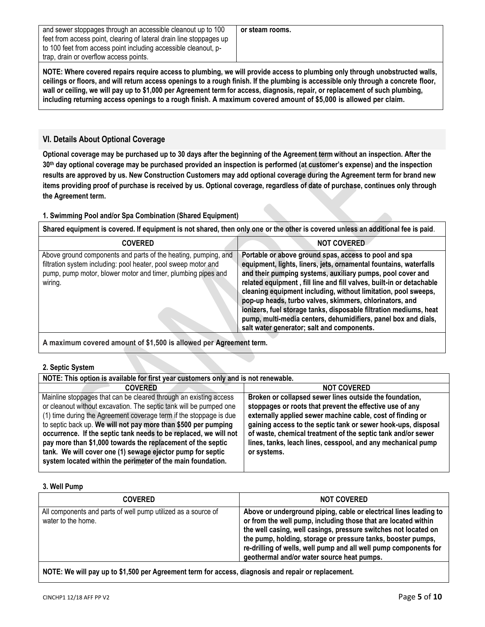and sewer stoppages through an accessible cleanout up to 100 feet from access point, clearing of lateral drain line stoppages up to 100 feet from access point including accessible cleanout, ptrap, drain or overflow access points.

**NOTE: Where covered repairs require access to plumbing, we will provide access to plumbing only through unobstructed walls, ceilings or floors, and will return access openings to a rough finish. If the plumbing is accessible only through a concrete floor, wall or ceiling, we will pay up to \$1,000 per Agreement term for access, diagnosis, repair, or replacement of such plumbing, including returning access openings to a rough finish. A maximum covered amount of \$5,000 is allowed per claim.**

## <span id="page-4-0"></span>**VI. Details About Optional Coverage**

**Optional coverage may be purchased up to 30 days after the beginning of the Agreement term without an inspection. After the 30th day optional coverage may be purchased provided an inspection is performed (at customer's expense) and the inspection results are approved by us. New Construction Customers may add optional coverage during the Agreement term for brand new items providing proof of purchase is received by us. Optional coverage, regardless of date of purchase, continues only through the Agreement term.**

## <span id="page-4-1"></span>**1. Swimming Pool and/or Spa Combination (Shared Equipment)**

**Shared equipment is covered. If equipment is not shared, then only one or the other is covered unless an additional fee is paid**.

| <b>COVERED</b>                                                                                                                                                                                              | <b>NOT COVERED</b>                                                                                                                                                                                                                                                                                                                                                                                                                                                                                                                                                                 |
|-------------------------------------------------------------------------------------------------------------------------------------------------------------------------------------------------------------|------------------------------------------------------------------------------------------------------------------------------------------------------------------------------------------------------------------------------------------------------------------------------------------------------------------------------------------------------------------------------------------------------------------------------------------------------------------------------------------------------------------------------------------------------------------------------------|
| Above ground components and parts of the heating, pumping, and<br>filtration system including: pool heater, pool sweep motor and<br>pump, pump motor, blower motor and timer, plumbing pipes and<br>wiring. | Portable or above ground spas, access to pool and spa<br>equipment, lights, liners, jets, ornamental fountains, waterfalls<br>and their pumping systems, auxiliary pumps, pool cover and<br>related equipment, fill line and fill valves, built-in or detachable<br>cleaning equipment including, without limitation, pool sweeps,<br>pop-up heads, turbo valves, skimmers, chlorinators, and<br>ionizers, fuel storage tanks, disposable filtration mediums, heat<br>pump, multi-media centers, dehumidifiers, panel box and dials,<br>salt water generator; salt and components. |
|                                                                                                                                                                                                             |                                                                                                                                                                                                                                                                                                                                                                                                                                                                                                                                                                                    |

**A maximum covered amount of \$1,500 is allowed per Agreement term.**

## <span id="page-4-2"></span>**2. Septic System**

| NOTE: This option is available for first year customers only and is not renewable.                                                                                                                                                                                                                                                                                                                                                                                                                                                              |                                                                                                                                                                                                                                                                                                                                                                                                   |
|-------------------------------------------------------------------------------------------------------------------------------------------------------------------------------------------------------------------------------------------------------------------------------------------------------------------------------------------------------------------------------------------------------------------------------------------------------------------------------------------------------------------------------------------------|---------------------------------------------------------------------------------------------------------------------------------------------------------------------------------------------------------------------------------------------------------------------------------------------------------------------------------------------------------------------------------------------------|
| <b>COVERED</b>                                                                                                                                                                                                                                                                                                                                                                                                                                                                                                                                  | <b>NOT COVERED</b>                                                                                                                                                                                                                                                                                                                                                                                |
| Mainline stoppages that can be cleared through an existing access<br>or cleanout without excavation. The septic tank will be pumped one<br>(1) time during the Agreement coverage term if the stoppage is due<br>to septic back up. We will not pay more than \$500 per pumping<br>occurrence. If the septic tank needs to be replaced, we will not<br>pay more than \$1,000 towards the replacement of the septic<br>tank. We will cover one (1) sewage ejector pump for septic<br>system located within the perimeter of the main foundation. | Broken or collapsed sewer lines outside the foundation,<br>stoppages or roots that prevent the effective use of any<br>externally applied sewer machine cable, cost of finding or<br>gaining access to the septic tank or sewer hook-ups, disposal<br>of waste, chemical treatment of the septic tank and/or sewer<br>lines, tanks, leach lines, cesspool, and any mechanical pump<br>or systems. |

#### <span id="page-4-3"></span>**3. Well Pump**

| Above or underground piping, cable or electrical lines leading to<br>All components and parts of well pump utilized as a source of<br>or from the well pump, including those that are located within<br>water to the home.<br>the well casing, well casings, pressure switches not located on<br>the pump, holding, storage or pressure tanks, booster pumps,<br>re-drilling of wells, well pump and all well pump components for<br>geothermal and/or water source heat pumps. | <b>COVERED</b> | <b>NOT COVERED</b> |
|---------------------------------------------------------------------------------------------------------------------------------------------------------------------------------------------------------------------------------------------------------------------------------------------------------------------------------------------------------------------------------------------------------------------------------------------------------------------------------|----------------|--------------------|
|                                                                                                                                                                                                                                                                                                                                                                                                                                                                                 |                |                    |

**NOTE: We will pay up to \$1,500 per Agreement term for access, diagnosis and repair or replacement.**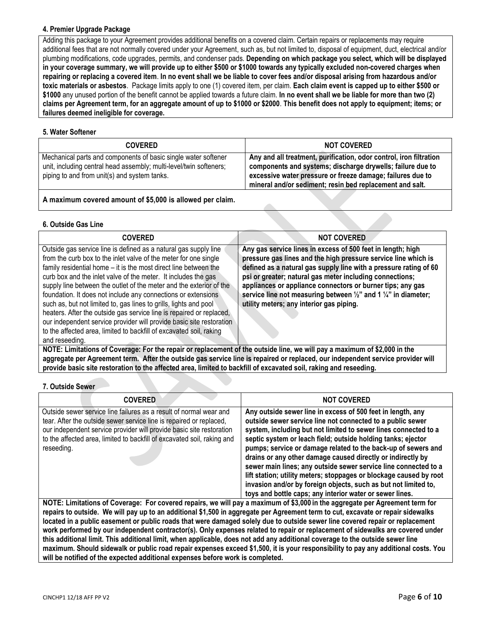## <span id="page-5-0"></span>**4. Premier Upgrade Package**

Adding this package to your Agreement provides additional benefits on a covered claim. Certain repairs or replacements may require additional fees that are not normally covered under your Agreement, such as, but not limited to, disposal of equipment, duct, electrical and/or plumbing modifications, code upgrades, permits, and condenser pads. **Depending on which package you select, which will be displayed in your coverage summary, we will provide up to either \$500 or \$1000 towards any typically excluded non-covered charges when repairing or replacing a covered item**. **In no event shall we be liable to cover fees and/or disposal arising from hazardous and/or toxic materials or asbestos**. Package limits apply to one (1) covered item, per claim. **Each claim event is capped up to either \$500 or \$1000** any unused portion of the benefit cannot be applied towards a future claim. **In no event shall we be liable for more than two (2) claims per Agreement term, for an aggregate amount of up to \$1000 or \$2000**. **This benefit does not apply to equipment; items; or failures deemed ineligible for coverage.**

### <span id="page-5-1"></span>**5. Water Softener**

| <b>COVERED</b>                                                                                                                                                                       | <b>NOT COVERED</b>                                                                                                                                                                                                                                         |
|--------------------------------------------------------------------------------------------------------------------------------------------------------------------------------------|------------------------------------------------------------------------------------------------------------------------------------------------------------------------------------------------------------------------------------------------------------|
| Mechanical parts and components of basic single water softener<br>unit, including central head assembly; multi-level/twin softeners;<br>piping to and from unit(s) and system tanks. | Any and all treatment, purification, odor control, iron filtration<br>components and systems; discharge drywells; failure due to<br>excessive water pressure or freeze damage; failures due to<br>mineral and/or sediment; resin bed replacement and salt. |

**A maximum covered amount of \$5,000 is allowed per claim.**

## <span id="page-5-2"></span>**6. Outside Gas Line**

| <b>COVERED</b>                                                                                                                                                                                                                                                                                                                                                                                                                                                                                                                                                                                                                                                                                                                   | <b>NOT COVERED</b>                                                                                                                                                                                                                                                                                                                                                                                                                                                |
|----------------------------------------------------------------------------------------------------------------------------------------------------------------------------------------------------------------------------------------------------------------------------------------------------------------------------------------------------------------------------------------------------------------------------------------------------------------------------------------------------------------------------------------------------------------------------------------------------------------------------------------------------------------------------------------------------------------------------------|-------------------------------------------------------------------------------------------------------------------------------------------------------------------------------------------------------------------------------------------------------------------------------------------------------------------------------------------------------------------------------------------------------------------------------------------------------------------|
| Outside gas service line is defined as a natural gas supply line<br>from the curb box to the inlet valve of the meter for one single<br>family residential home – it is the most direct line between the<br>curb box and the inlet valve of the meter. It includes the gas<br>supply line between the outlet of the meter and the exterior of the<br>foundation. It does not include any connections or extensions<br>such as, but not limited to, gas lines to grills, lights and pool<br>heaters. After the outside gas service line is repaired or replaced,<br>our independent service provider will provide basic site restoration<br>to the affected area, limited to backfill of excavated soil, raking<br>and reseeding. | Any gas service lines in excess of 500 feet in length; high<br>pressure gas lines and the high pressure service line which is<br>defined as a natural gas supply line with a pressure rating of 60<br>psi or greater; natural gas meter including connections;<br>appliances or appliance connectors or burner tips; any gas<br>service line not measuring between $\frac{1}{2}$ " and 1 $\frac{1}{4}$ " in diameter;<br>utility meters; any interior gas piping. |
| NOTE: Limitations of Coverage: For the repair or replacement of the outside line, we will pay a maximum of \$2,000 in the                                                                                                                                                                                                                                                                                                                                                                                                                                                                                                                                                                                                        |                                                                                                                                                                                                                                                                                                                                                                                                                                                                   |

**aggregate per Agreement term. After the outside gas service line is repaired or replaced, our independent service provider will provide basic site restoration to the affected area, limited to backfill of excavated soil, raking and reseeding.**

## <span id="page-5-3"></span>**7. Outside Sewer**

| <b>COVERED</b>                                                                                                                                                                                                                                                                                                                                                                                      | <b>NOT COVERED</b>                                                                                                                                                                                                                                                                                                                                                                                                                                                                                                                                                                                                                                                   |
|-----------------------------------------------------------------------------------------------------------------------------------------------------------------------------------------------------------------------------------------------------------------------------------------------------------------------------------------------------------------------------------------------------|----------------------------------------------------------------------------------------------------------------------------------------------------------------------------------------------------------------------------------------------------------------------------------------------------------------------------------------------------------------------------------------------------------------------------------------------------------------------------------------------------------------------------------------------------------------------------------------------------------------------------------------------------------------------|
| Outside sewer service line failures as a result of normal wear and<br>tear. After the outside sewer service line is repaired or replaced,<br>our independent service provider will provide basic site restoration<br>to the affected area, limited to backfill of excavated soil, raking and<br>reseeding.                                                                                          | Any outside sewer line in excess of 500 feet in length, any<br>outside sewer service line not connected to a public sewer<br>system, including but not limited to sewer lines connected to a<br>septic system or leach field; outside holding tanks; ejector<br>pumps; service or damage related to the back-up of sewers and<br>drains or any other damage caused directly or indirectly by<br>sewer main lines; any outside sewer service line connected to a<br>lift station; utility meters; stoppages or blockage caused by root<br>invasion and/or by foreign objects, such as but not limited to,<br>toys and bottle caps; any interior water or sewer lines. |
| NOTE: Limitations of Coverage: For covered repairs, we will pay a maximum of \$3,000 in the aggregate per Agreement term for                                                                                                                                                                                                                                                                        |                                                                                                                                                                                                                                                                                                                                                                                                                                                                                                                                                                                                                                                                      |
| repairs to outside. We will pay up to an additional \$1,500 in aggregate per Agreement term to cut, excavate or repair sidewalks<br>located in a public easement or public roads that were damaged solely due to outside sewer line covered repair or replacement<br>work performed by our independent contractor(s). Only expenses related to repair or replacement of sidewalks are covered under |                                                                                                                                                                                                                                                                                                                                                                                                                                                                                                                                                                                                                                                                      |

**this additional limit. This additional limit, when applicable, does not add any additional coverage to the outside sewer line maximum. Should sidewalk or public road repair expenses exceed \$1,500, it is your responsibility to pay any additional costs. You will be notified of the expected additional expenses before work is completed.**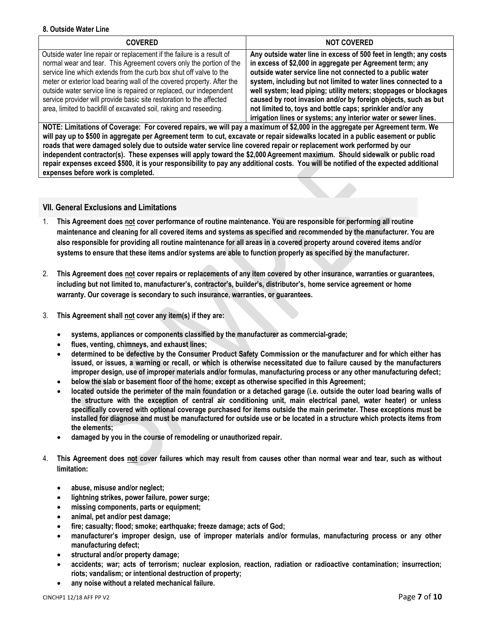#### <span id="page-6-0"></span>**8. Outside Water Line**

| <b>COVERED</b>                                                                                                                                                                                                                                                                                                                                                                                                                                                                                                     | <b>NOT COVERED</b>                                                                                                                                                                                                                                                                                                                                                                                                                                                                                                                     |
|--------------------------------------------------------------------------------------------------------------------------------------------------------------------------------------------------------------------------------------------------------------------------------------------------------------------------------------------------------------------------------------------------------------------------------------------------------------------------------------------------------------------|----------------------------------------------------------------------------------------------------------------------------------------------------------------------------------------------------------------------------------------------------------------------------------------------------------------------------------------------------------------------------------------------------------------------------------------------------------------------------------------------------------------------------------------|
| Outside water line repair or replacement if the failure is a result of<br>normal wear and tear. This Agreement covers only the portion of the<br>service line which extends from the curb box shut off valve to the<br>meter or exterior load bearing wall of the covered property. After the<br>outside water service line is repaired or replaced, our independent<br>service provider will provide basic site restoration to the affected<br>area, limited to backfill of excavated soil, raking and reseeding. | Any outside water line in excess of 500 feet in length; any costs<br>in excess of \$2,000 in aggregate per Agreement term; any<br>outside water service line not connected to a public water<br>system, including but not limited to water lines connected to a<br>well system; lead piping; utility meters; stoppages or blockages<br>caused by root invasion and/or by foreign objects, such as but<br>not limited to, toys and bottle caps; sprinkler and/or any<br>irrigation lines or systems; any interior water or sewer lines. |

**NOTE: Limitations of Coverage: For covered repairs, we will pay a maximum of \$2,000 in the aggregate per Agreement term. We will pay up to \$500 in aggregate per Agreement term to cut, excavate or repair sidewalks located in a public easement or public roads that were damaged solely due to outside water service line covered repair or replacement work performed by our independent contractor(s). These expenses will apply toward the \$2,000Agreement maximum. Should sidewalk or public road repair expenses exceed \$500, it is your responsibility to pay any additional costs. You will be notified of the expected additional expenses before work is completed.**

## <span id="page-6-1"></span>**VII. General Exclusions and Limitations**

- 1. **This Agreement does not cover performance of routine maintenance. You are responsible for performing all routine maintenance and cleaning for all covered items and systems as specified and recommended by the manufacturer. You are also responsible for providing all routine maintenance for all areas in a covered property around covered items and/or systems to ensure that these items and/or systems are able to function properly as specified by the manufacturer.**
- 2. **This Agreement does not cover repairs or replacements of any item covered by other insurance, warranties or guarantees, including but not limited to, manufacturer's, contractor's, builder's, distributor's, home service agreement or home warranty. Our coverage is secondary to such insurance, warranties, or guarantees.**
- 3. **This Agreement shall not cover any item(s) if they are:** 
	- **systems, appliances or components classified by the manufacturer as commercial-grade;**
	- **flues, venting, chimneys, and exhaust lines;**
	- **determined to be defective by the Consumer Product Safety Commission or the manufacturer and for which either has issued, or issues, a warning or recall, or which is otherwise necessitated due to failure caused by the manufacturers improper design, use of improper materials and/or formulas, manufacturing process or any other manufacturing defect;**
	- **below the slab or basement floor of the home; except as otherwise specified in this Agreement;**
	- **located outside the perimeter of the main foundation or a detached garage (i.e. outside the outer load bearing walls of the structure with the exception of central air conditioning unit, main electrical panel, water heater) or unless specifically covered with optional coverage purchased for items outside the main perimeter. These exceptions must be installed for diagnose and must be manufactured for outside use or be located in a structure which protects items from the elements;**
	- **damaged by you in the course of remodeling or unauthorized repair.**
- 4. **This Agreement does not cover failures which may result from causes other than normal wear and tear, such as without limitation:** 
	- **abuse, misuse and/or neglect;**
	- **lightning strikes, power failure, power surge;**
	- **missing components, parts or equipment;**
	- **animal, pet and/or pest damage;**
	- **fire; casualty; flood; smoke; earthquake; freeze damage; acts of God;**
	- **manufacturer's improper design, use of improper materials and/or formulas, manufacturing process or any other manufacturing defect;**
	- **structural and/or property damage;**
	- **accidents; war; acts of terrorism; nuclear explosion, reaction, radiation or radioactive contamination; insurrection; riots; vandalism; or intentional destruction of property;**
	- **any noise without a related mechanical failure.**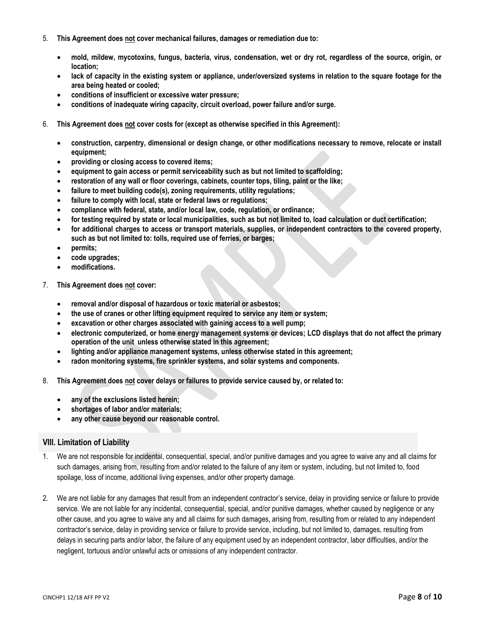- 5. **This Agreement does not cover mechanical failures, damages or remediation due to:**
	- **mold, mildew, mycotoxins, fungus, bacteria, virus, condensation, wet or dry rot, regardless of the source, origin, or location;**
	- **lack of capacity in the existing system or appliance, under/oversized systems in relation to the square footage for the area being heated or cooled;**
	- **conditions of insufficient or excessive water pressure;**
	- **conditions of inadequate wiring capacity, circuit overload, power failure and/or surge.**
- 6. **This Agreement does not cover costs for (except as otherwise specified in this Agreement):**
	- **construction, carpentry, dimensional or design change, or other modifications necessary to remove, relocate or install equipment;**
	- **providing or closing access to covered items;**
	- **equipment to gain access or permit serviceability such as but not limited to scaffolding;**
	- **restoration of any wall or floor coverings, cabinets, counter tops, tiling, paint or the like;**
	- **failure to meet building code(s), zoning requirements, utility regulations;**
	- **failure to comply with local, state or federal laws or regulations;**
	- **compliance with federal, state, and/or local law, code, regulation, or ordinance;**
	- **for testing required by state or local municipalities, such as but not limited to, load calculation or duct certification;**
	- **for additional charges to access or transport materials, supplies, or independent contractors to the covered property, such as but not limited to: tolls, required use of ferries, or barges;**
	- **permits;**
	- **code upgrades;**
	- **modifications.**
- 7. **This Agreement does not cover:** 
	- **removal and/or disposal of hazardous or toxic material or asbestos;**
	- **the use of cranes or other lifting equipment required to service any item or system;**
	- **excavation or other charges associated with gaining access to a well pump;**
	- **electronic computerized, or home energy management systems or devices; LCD displays that do not affect the primary operation of the unit unless otherwise stated in this agreement;**
	- **lighting and/or appliance management systems, unless otherwise stated in this agreement;**
	- **radon monitoring systems, fire sprinkler systems, and solar systems and components.**
- 8. **This Agreement does not cover delays or failures to provide service caused by, or related to:** 
	- **any of the exclusions listed herein;**
	- **shortages of labor and/or materials;**
	- **any other cause beyond our reasonable control.**

## <span id="page-7-0"></span>**VIII. Limitation of Liability**

- 1. We are not responsible for incidental, consequential, special, and/or punitive damages and you agree to waive any and all claims for such damages, arising from, resulting from and/or related to the failure of any item or system, including, but not limited to, food spoilage, loss of income, additional living expenses, and/or other property damage.
- 2. We are not liable for any damages that result from an independent contractor's service, delay in providing service or failure to provide service. We are not liable for any incidental, consequential, special, and/or punitive damages, whether caused by negligence or any other cause, and you agree to waive any and all claims for such damages, arising from, resulting from or related to any independent contractor's service, delay in providing service or failure to provide service, including, but not limited to, damages, resulting from delays in securing parts and/or labor, the failure of any equipment used by an independent contractor, labor difficulties, and/or the negligent, tortuous and/or unlawful acts or omissions of any independent contractor.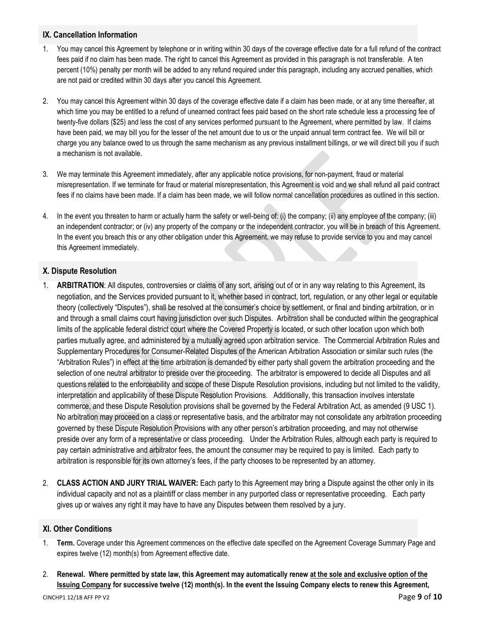## <span id="page-8-0"></span>**IX. Cancellation Information**

- 1. You may cancel this Agreement by telephone or in writing within 30 days of the coverage effective date for a full refund of the contract fees paid if no claim has been made. The right to cancel this Agreement as provided in this paragraph is not transferable. A ten percent (10%) penalty per month will be added to any refund required under this paragraph, including any accrued penalties, which are not paid or credited within 30 days after you cancel this Agreement.
- 2. You may cancel this Agreement within 30 days of the coverage effective date if a claim has been made, or at any time thereafter, at which time you may be entitled to a refund of unearned contract fees paid based on the short rate schedule less a processing fee of twenty-five dollars (\$25) and less the cost of any services performed pursuant to the Agreement, where permitted by law. If claims have been paid, we may bill you for the lesser of the net amount due to us or the unpaid annual term contract fee. We will bill or charge you any balance owed to us through the same mechanism as any previous installment billings, or we will direct bill you if such a mechanism is not available.
- 3. We may terminate this Agreement immediately, after any applicable notice provisions, for non-payment, fraud or material misrepresentation. If we terminate for fraud or material misrepresentation, this Agreement is void and we shall refund all paid contract fees if no claims have been made. If a claim has been made, we will follow normal cancellation procedures as outlined in this section.
- 4. In the event you threaten to harm or actually harm the safety or well-being of: (i) the company; (ii) any employee of the company; (iii) an independent contractor; or (iv) any property of the company or the independent contractor, you will be in breach of this Agreement. In the event you breach this or any other obligation under this Agreement, we may refuse to provide service to you and may cancel this Agreement immediately.

## <span id="page-8-1"></span>**X. Dispute Resolution**

- 1. **ARBITRATION**: All disputes, controversies or claims of any sort, arising out of or in any way relating to this Agreement, its negotiation, and the Services provided pursuant to it, whether based in contract, tort, regulation, or any other legal or equitable theory (collectively "Disputes"), shall be resolved at the consumer's choice by settlement, or final and binding arbitration, or in and through a small claims court having jurisdiction over such Disputes. Arbitration shall be conducted within the geographical limits of the applicable federal district court where the Covered Property is located, or such other location upon which both parties mutually agree, and administered by a mutually agreed upon arbitration service. The Commercial Arbitration Rules and Supplementary Procedures for Consumer-Related Disputes of the American Arbitration Association or similar such rules (the "Arbitration Rules") in effect at the time arbitration is demanded by either party shall govern the arbitration proceeding and the selection of one neutral arbitrator to preside over the proceeding. The arbitrator is empowered to decide all Disputes and all questions related to the enforceability and scope of these Dispute Resolution provisions, including but not limited to the validity, interpretation and applicability of these Dispute Resolution Provisions. Additionally, this transaction involves interstate commerce, and these Dispute Resolution provisions shall be governed by the Federal Arbitration Act, as amended (9 USC 1). No arbitration may proceed on a class or representative basis, and the arbitrator may not consolidate any arbitration proceeding governed by these Dispute Resolution Provisions with any other person's arbitration proceeding, and may not otherwise preside over any form of a representative or class proceeding. Under the Arbitration Rules, although each party is required to pay certain administrative and arbitrator fees, the amount the consumer may be required to pay is limited. Each party to arbitration is responsible for its own attorney's fees, if the party chooses to be represented by an attorney.
- 2. **CLASS ACTION AND JURY TRIAL WAIVER:** Each party to this Agreement may bring a Dispute against the other only in its individual capacity and not as a plaintiff or class member in any purported class or representative proceeding. Each party gives up or waives any right it may have to have any Disputes between them resolved by a jury.

## <span id="page-8-2"></span>**XI. Other Conditions**

- 1. **Term.** Coverage under this Agreement commences on the effective date specified on the Agreement Coverage Summary Page and expires twelve (12) month(s) from Agreement effective date.
- 2. **Renewal. Where permitted by state law, this Agreement may automatically renew at the sole and exclusive option of the Issuing Company for successive twelve (12) month(s). In the event the Issuing Company elects to renew this Agreement,**